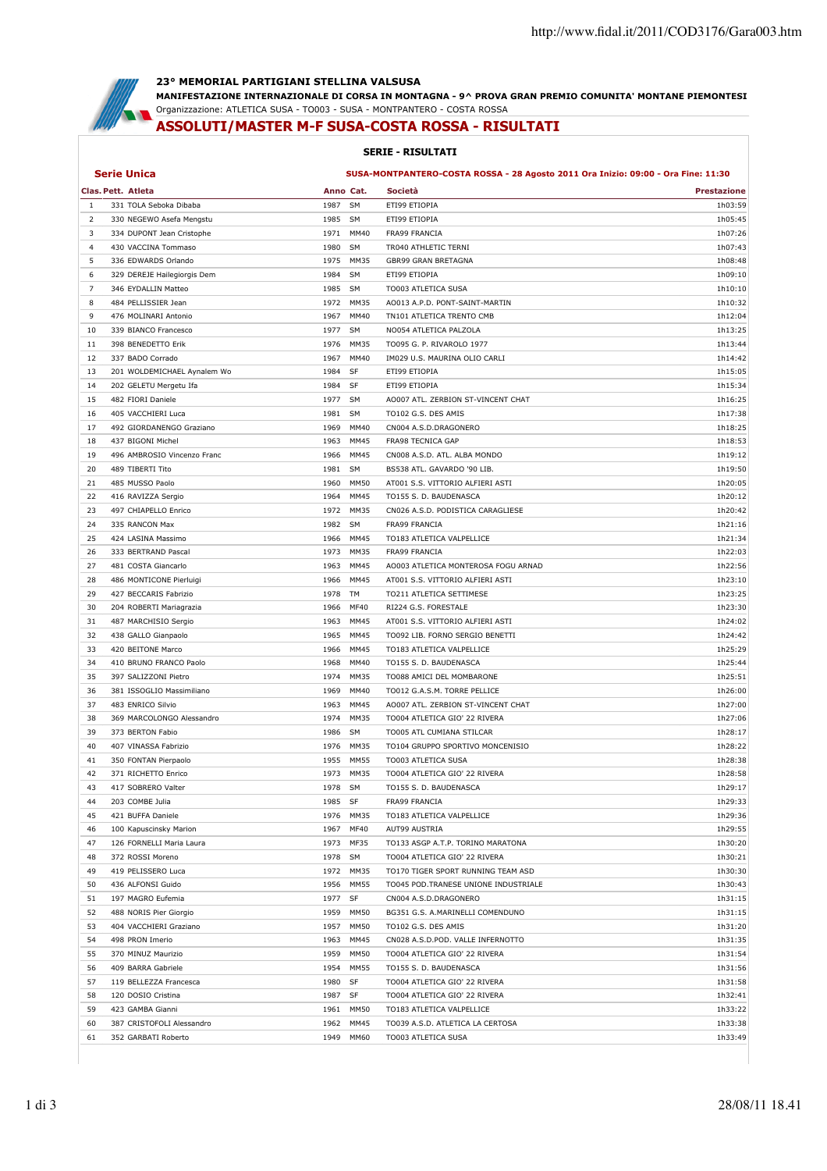

## **23° MEMORIAL PARTIGIANI STELLINA VALSUSA**

**MANIFESTAZIONE INTERNAZIONALE DI CORSA IN MONTAGNA - 9^ PROVA GRAN PREMIO COMUNITA' MONTANE PIEMONTESI** Organizzazione: ATLETICA SUSA - TO003 - SUSA - MONTPANTERO - COSTA ROSSA

## **ASSOLUTI/MASTER M-F SUSA-COSTA ROSSA - RISULTATI**

## **SERIE - RISULTATI**

| <b>Serie Unica</b><br>SUSA-MONTPANTERO-COSTA ROSSA - 28 Agosto 2011 Ora Inizio: 09:00 - Ora Fine: 11:30 |                             |         |           |                                      |                    |
|---------------------------------------------------------------------------------------------------------|-----------------------------|---------|-----------|--------------------------------------|--------------------|
|                                                                                                         | Clas. Pett. Atleta          |         | Anno Cat. | Società                              | <b>Prestazione</b> |
| 1                                                                                                       | 331 TOLA Seboka Dibaba      | 1987    | <b>SM</b> | ETI99 ETIOPIA                        | 1h03:59            |
| 2                                                                                                       | 330 NEGEWO Asefa Mengstu    | 1985 SM |           | ETI99 ETIOPIA                        | 1h05:45            |
| 3                                                                                                       | 334 DUPONT Jean Cristophe   | 1971    | MM40      | FRA99 FRANCIA                        | 1h07:26            |
| 4                                                                                                       | 430 VACCINA Tommaso         | 1980    | <b>SM</b> | TR040 ATHLETIC TERNI                 | 1h07:43            |
| 5                                                                                                       | 336 EDWARDS Orlando         | 1975    | MM35      | GBR99 GRAN BRETAGNA                  | 1h08:48            |
| 6                                                                                                       | 329 DEREJE Hailegiorgis Dem | 1984    | <b>SM</b> | ETI99 ETIOPIA                        | 1h09:10            |
| 7                                                                                                       | 346 EYDALLIN Matteo         | 1985    | SM        | TO003 ATLETICA SUSA                  | 1h10:10            |
| 8                                                                                                       | 484 PELLISSIER Jean         | 1972    | MM35      | AO013 A.P.D. PONT-SAINT-MARTIN       | 1h10:32            |
| 9                                                                                                       | 476 MOLINARI Antonio        | 1967    | MM40      | TN101 ATLETICA TRENTO CMB            | 1h12:04            |
| 10                                                                                                      | 339 BIANCO Francesco        | 1977    | SM        | NO054 ATLETICA PALZOLA               | 1h13:25            |
| 11                                                                                                      | 398 BENEDETTO Erik          | 1976    | MM35      | TO095 G. P. RIVAROLO 1977            | 1h13:44            |
| 12                                                                                                      | 337 BADO Corrado            | 1967    | MM40      | IM029 U.S. MAURINA OLIO CARLI        | 1h14:42            |
| 13                                                                                                      | 201 WOLDEMICHAEL Aynalem Wo | 1984    | SF        | ETI99 ETIOPIA                        | 1h15:05            |
| 14                                                                                                      | 202 GELETU Mergetu Ifa      | 1984    | SF        | ETI99 ETIOPIA                        | 1h15:34            |
| 15                                                                                                      | 482 FIORI Daniele           | 1977    | SM        | AO007 ATL. ZERBION ST-VINCENT CHAT   | 1h16:25            |
| 16                                                                                                      | 405 VACCHIERI Luca          | 1981    | SM        | TO102 G.S. DES AMIS                  | 1h17:38            |
| 17                                                                                                      | 492 GIORDANENGO Graziano    | 1969    | MM40      | CN004 A.S.D.DRAGONERO                | 1h18:25            |
| 18                                                                                                      | 437 BIGONI Michel           | 1963    | MM45      | <b>FRA98 TECNICA GAP</b>             | 1h18:53            |
| 19                                                                                                      | 496 AMBROSIO Vincenzo Franc | 1966    | MM45      | CN008 A.S.D. ATL. ALBA MONDO         | 1h19:12            |
| 20                                                                                                      | 489 TIBERTI Tito            | 1981    | SM        | BS538 ATL. GAVARDO '90 LIB.          | 1h19:50            |
| 21                                                                                                      | 485 MUSSO Paolo             | 1960    | MM50      | AT001 S.S. VITTORIO ALFIERI ASTI     | 1h20:05            |
| 22                                                                                                      | 416 RAVIZZA Sergio          | 1964    | MM45      | TO155 S. D. BAUDENASCA               | 1h20:12            |
| 23                                                                                                      | 497 CHIAPELLO Enrico        | 1972    | MM35      | CN026 A.S.D. PODISTICA CARAGLIESE    | 1h20:42            |
| 24                                                                                                      | 335 RANCON Max              | 1982    | SM        | <b>FRA99 FRANCIA</b>                 | 1h21:16            |
| 25                                                                                                      | 424 LASINA Massimo          | 1966    | MM45      | TO183 ATLETICA VALPELLICE            | 1h21:34            |
| 26                                                                                                      | 333 BERTRAND Pascal         | 1973    | MM35      | <b>FRA99 FRANCIA</b>                 | 1h22:03            |
| 27                                                                                                      | 481 COSTA Giancarlo         | 1963    | MM45      | AO003 ATLETICA MONTEROSA FOGU ARNAD  | 1h22:56            |
| 28                                                                                                      | 486 MONTICONE Pierluigi     | 1966    | MM45      | AT001 S.S. VITTORIO ALFIERI ASTI     | 1h23:10            |
|                                                                                                         |                             |         |           |                                      |                    |
| 29                                                                                                      | 427 BECCARIS Fabrizio       | 1978    | TM        | TO211 ATLETICA SETTIMESE             | 1h23:25            |
| 30                                                                                                      | 204 ROBERTI Mariagrazia     | 1966    | MF40      | RI224 G.S. FORESTALE                 | 1h23:30            |
| 31                                                                                                      | 487 MARCHISIO Sergio        | 1963    | MM45      | AT001 S.S. VITTORIO ALFIERI ASTI     | 1h24:02            |
| 32                                                                                                      | 438 GALLO Gianpaolo         | 1965    | MM45      | TO092 LIB. FORNO SERGIO BENETTI      | 1h24:42            |
| 33                                                                                                      | 420 BEITONE Marco           | 1966    | MM45      | TO183 ATLETICA VALPELLICE            | 1h25:29            |
| 34                                                                                                      | 410 BRUNO FRANCO Paolo      | 1968    | MM40      | TO155 S. D. BAUDENASCA               | 1h25:44            |
| 35                                                                                                      | 397 SALIZZONI Pietro        | 1974    | MM35      | TO088 AMICI DEL MOMBARONE            | 1h25:51            |
| 36                                                                                                      | 381 ISSOGLIO Massimiliano   | 1969    | MM40      | TO012 G.A.S.M. TORRE PELLICE         | 1h26:00            |
| 37                                                                                                      | 483 ENRICO Silvio           | 1963    | MM45      | AO007 ATL. ZERBION ST-VINCENT CHAT   | 1h27:00            |
| 38                                                                                                      | 369 MARCOLONGO Alessandro   | 1974    | MM35      | TO004 ATLETICA GIO' 22 RIVERA        | 1h27:06            |
| 39                                                                                                      | 373 BERTON Fabio            | 1986    | SM        | TO005 ATL CUMIANA STILCAR            | 1h28:17            |
| 40                                                                                                      | 407 VINASSA Fabrizio        | 1976    | MM35      | TO104 GRUPPO SPORTIVO MONCENISIO     | 1h28:22            |
| 41                                                                                                      | 350 FONTAN Pierpaolo        | 1955    | MM55      | TO003 ATLETICA SUSA                  | 1h28:38            |
| 42                                                                                                      | 371 RICHETTO Enrico         |         | 1973 MM35 | TO004 ATLETICA GIO' 22 RIVERA        | 1h28:58            |
| 43                                                                                                      | 417 SOBRERO Valter          | 1978    | <b>SM</b> | TO155 S. D. BAUDENASCA               | 1h29:17            |
| 44                                                                                                      | 203 COMBE Julia             | 1985 SF |           | FRA99 FRANCIA                        | 1h29:33            |
| 45                                                                                                      | 421 BUFFA Daniele           |         | 1976 MM35 | TO183 ATLETICA VALPELLICE            | 1h29:36            |
| 46                                                                                                      | 100 Kapuscinsky Marion      |         | 1967 MF40 | AUT99 AUSTRIA                        | 1h29:55            |
| 47                                                                                                      | 126 FORNELLI Maria Laura    |         | 1973 MF35 | TO133 ASGP A.T.P. TORINO MARATONA    | 1h30:20            |
| 48                                                                                                      | 372 ROSSI Moreno            | 1978 SM |           | TO004 ATLETICA GIO' 22 RIVERA        | 1h30:21            |
| 49                                                                                                      | 419 PELISSERO Luca          |         | 1972 MM35 | TO170 TIGER SPORT RUNNING TEAM ASD   | 1h30:30            |
| 50                                                                                                      | 436 ALFONSI Guido           |         | 1956 MM55 | TO045 POD.TRANESE UNIONE INDUSTRIALE | 1h30:43            |
| 51                                                                                                      | 197 MAGRO Eufemia           | 1977 SF |           | CN004 A.S.D.DRAGONERO                | 1h31:15            |
| 52                                                                                                      | 488 NORIS Pier Giorgio      |         | 1959 MM50 | BG351 G.S. A.MARINELLI COMENDUNO     | 1h31:15            |
| 53                                                                                                      | 404 VACCHIERI Graziano      |         | 1957 MM50 | TO102 G.S. DES AMIS                  | 1h31:20            |
| 54                                                                                                      | 498 PRON Imerio             |         | 1963 MM45 | CN028 A.S.D.POD. VALLE INFERNOTTO    | 1h31:35            |
| 55                                                                                                      | 370 MINUZ Maurizio          | 1959    | MM50      | TO004 ATLETICA GIO' 22 RIVERA        | 1h31:54            |
| 56                                                                                                      | 409 BARRA Gabriele          |         | 1954 MM55 | TO155 S. D. BAUDENASCA               | 1h31:56            |
| 57                                                                                                      | 119 BELLEZZA Francesca      | 1980 SF |           | TO004 ATLETICA GIO' 22 RIVERA        | 1h31:58            |
| 58                                                                                                      | 120 DOSIO Cristina          | 1987 SF |           | TO004 ATLETICA GIO' 22 RIVERA        | 1h32:41            |
| 59                                                                                                      | 423 GAMBA Gianni            |         | 1961 MM50 | TO183 ATLETICA VALPELLICE            | 1h33:22            |
| 60                                                                                                      | 387 CRISTOFOLI Alessandro   |         | 1962 MM45 | TO039 A.S.D. ATLETICA LA CERTOSA     | 1h33:38            |
| 61                                                                                                      | 352 GARBATI Roberto         |         | 1949 MM60 | TO003 ATLETICA SUSA                  | 1h33:49            |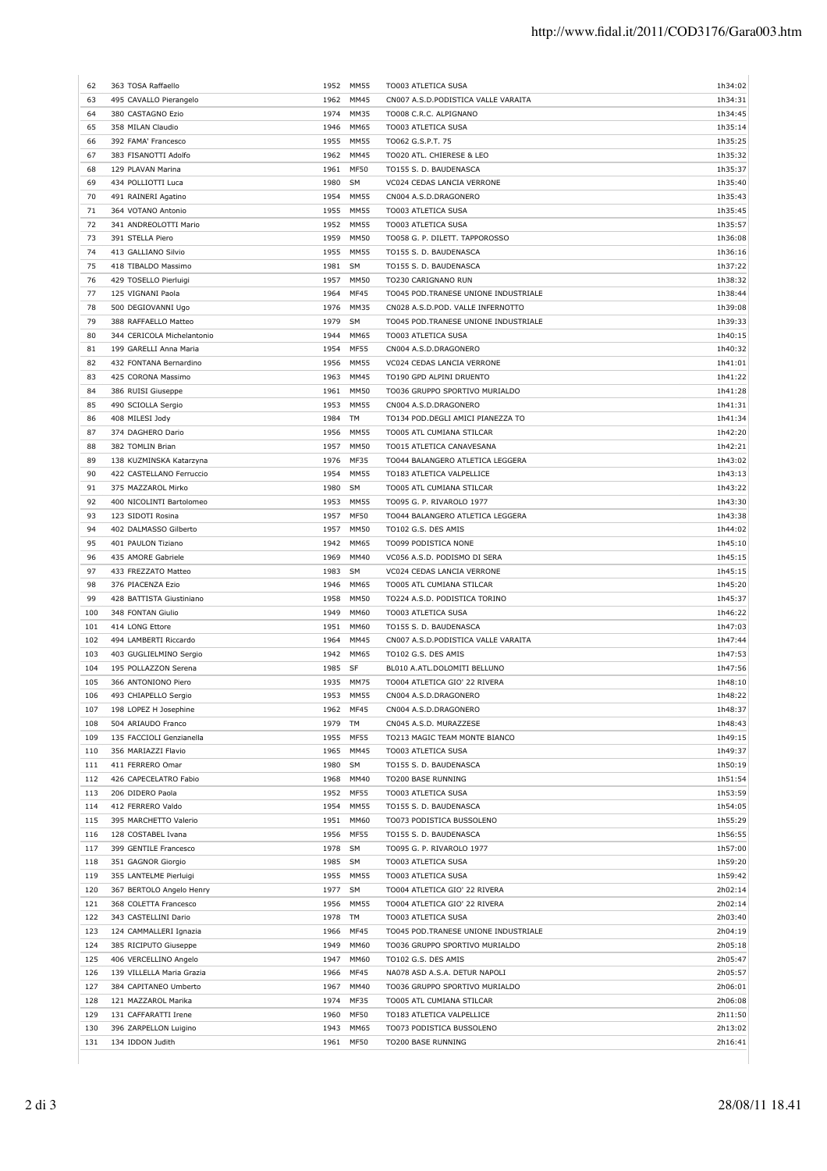| 62<br>63 | 363 TOSA Raffaello                          |              | 1952 MM55    | TO003 ATLETICA SUSA                                           | 1h34:02<br>1h34:31 |
|----------|---------------------------------------------|--------------|--------------|---------------------------------------------------------------|--------------------|
| 64       | 495 CAVALLO Pierangelo<br>380 CASTAGNO Ezio | 1962<br>1974 | MM45<br>MM35 | CN007 A.S.D.PODISTICA VALLE VARAITA<br>TO008 C.R.C. ALPIGNANO | 1h34:45            |
| 65       |                                             |              |              |                                                               | 1h35:14            |
| 66       | 358 MILAN Claudio                           | 1946<br>1955 | MM65<br>MM55 | TO003 ATLETICA SUSA                                           | 1h35:25            |
|          | 392 FAMA' Francesco<br>383 FISANOTTI Adolfo | 1962         | MM45         | TO062 G.S.P.T. 75<br>TO020 ATL. CHIERESE & LEO                |                    |
| 67       |                                             |              |              |                                                               | 1h35:32            |
| 68       | 129 PLAVAN Marina                           | 1961         | MF50         | TO155 S. D. BAUDENASCA                                        | 1h35:37            |
| 69       | 434 POLLIOTTI Luca                          | 1980         | SM           | VC024 CEDAS LANCIA VERRONE                                    | 1h35:40            |
| 70       | 491 RAINERI Agatino                         | 1954         | MM55         | CN004 A.S.D.DRAGONERO                                         | 1h35:43            |
| 71       | 364 VOTANO Antonio                          | 1955         | MM55         | TO003 ATLETICA SUSA                                           | 1h35:45            |
| 72       | 341 ANDREOLOTTI Mario                       | 1952         | MM55         | TO003 ATLETICA SUSA                                           | 1h35:57            |
| 73       | 391 STELLA Piero                            | 1959         | <b>MM50</b>  | TO058 G. P. DILETT. TAPPOROSSO                                | 1h36:08            |
| 74       | 413 GALLIANO Silvio                         | 1955         | <b>MM55</b>  | TO155 S. D. BAUDENASCA                                        | 1h36:16            |
| 75       | 418 TIBALDO Massimo                         | 1981         | SM           | TO155 S. D. BAUDENASCA                                        | 1h37:22            |
| 76       | 429 TOSELLO Pierluigi                       | 1957         | MM50         | TO230 CARIGNANO RUN                                           | 1h38:32            |
| 77       | 125 VIGNANI Paola                           | 1964         | MF45         | TO045 POD.TRANESE UNIONE INDUSTRIALE                          | 1h38:44            |
| 78       | 500 DEGIOVANNI Ugo                          | 1976         | MM35         | CN028 A.S.D.POD. VALLE INFERNOTTO                             | 1h39:08            |
| 79       | 388 RAFFAELLO Matteo                        | 1979         | SM           | TO045 POD.TRANESE UNIONE INDUSTRIALE                          | 1h39:33            |
| 80       | 344 CERICOLA Michelantonio                  | 1944         | MM65         | TO003 ATLETICA SUSA                                           | 1h40:15            |
| 81       | 199 GARELLI Anna Maria                      | 1954         | MF55         | CN004 A.S.D.DRAGONERO                                         | 1h40:32            |
| 82       | 432 FONTANA Bernardino                      | 1956         | MM55         | VC024 CEDAS LANCIA VERRONE                                    | 1h41:01            |
|          |                                             |              |              |                                                               |                    |
| 83       | 425 CORONA Massimo                          | 1963         | MM45         | TO190 GPD ALPINI DRUENTO                                      | 1h41:22            |
| 84       | 386 RUISI Giuseppe                          | 1961         | <b>MM50</b>  | TO036 GRUPPO SPORTIVO MURIALDO                                | 1h41:28            |
| 85       | 490 SCIOLLA Sergio                          | 1953         | MM55         | CN004 A.S.D.DRAGONERO                                         | 1h41:31            |
| 86       | 408 MILESI Jody                             | 1984         | TM           | TO134 POD DEGLI AMICI PIANEZZA TO                             | 1h41:34            |
| 87       | 374 DAGHERO Dario                           | 1956         | MM55         | TO005 ATL CUMIANA STILCAR                                     | 1h42:20            |
| 88       | 382 TOMLIN Brian                            | 1957         | MM50         | TO015 ATLETICA CANAVESANA                                     | 1h42:21            |
| 89       | 138 KUZMINSKA Katarzyna                     | 1976         | MF35         | TO044 BALANGERO ATLETICA LEGGERA                              | 1h43:02            |
| 90       | 422 CASTELLANO Ferruccio                    | 1954         | <b>MM55</b>  | TO183 ATLETICA VALPELLICE                                     | 1h43:13            |
| 91       | 375 MAZZAROL Mirko                          | 1980         | <b>SM</b>    | TO005 ATL CUMIANA STILCAR                                     | 1h43:22            |
| 92       | 400 NICOLINTI Bartolomeo                    | 1953         | MM55         | TO095 G. P. RIVAROLO 1977                                     | 1h43:30            |
| 93       | 123 SIDOTI Rosina                           | 1957         | MF50         | TO044 BALANGERO ATLETICA LEGGERA                              | 1h43:38            |
| 94       | 402 DALMASSO Gilberto                       | 1957         | MM50         | TO102 G.S. DES AMIS                                           | 1h44:02            |
| 95       | 401 PAULON Tiziano                          | 1942         | MM65         | TO099 PODISTICA NONE                                          | 1h45:10            |
| 96       | 435 AMORE Gabriele                          | 1969         | MM40         | VC056 A.S.D. PODISMO DI SERA                                  | 1h45:15            |
|          |                                             |              |              |                                                               |                    |
| 97       | 433 FREZZATO Matteo                         | 1983 SM      |              | VC024 CEDAS LANCIA VERRONE                                    | 1h45:15            |
| 98       | 376 PIACENZA Ezio                           | 1946         | MM65         | TO005 ATL CUMIANA STILCAR                                     | 1h45:20            |
| 99       | 428 BATTISTA Giustiniano                    | 1958         | MM50         | TO224 A.S.D. PODISTICA TORINO                                 | 1h45:37            |
| 100      | 348 FONTAN Giulio                           | 1949         | MM60         | TO003 ATLETICA SUSA                                           | 1h46:22            |
| 101      | 414 LONG Ettore                             | 1951         | MM60         | TO155 S. D. BAUDENASCA                                        | 1h47:03            |
| 102      | 494 LAMBERTI Riccardo                       | 1964         | MM45         | CN007 A.S.D.PODISTICA VALLE VARAITA                           | 1h47:44            |
| 103      | 403 GUGLIELMINO Sergio                      |              | 1942 MM65    | TO102 G.S. DES AMIS                                           | 1h47:53            |
| 104      | 195 POLLAZZON Serena                        | 1985 SF      |              | BL010 A.ATL.DOLOMITI BELLUNO                                  | 1h47:56            |
| 105      | 366 ANTONIONO Piero                         |              | 1935 MM75    | TO004 ATLETICA GIO' 22 RIVERA                                 | 1h48:10            |
| 106      | 493 CHIAPELLO Sergio                        | 1953         | MM55         | CN004 A.S.D.DRAGONERO                                         | 1h48:22            |
| 107      | 198 LOPEZ H Josephine                       |              | 1962 MF45    | CN004 A.S.D.DRAGONERO                                         | 1h48:37            |
| 108      | 504 ARIAUDO Franco                          | 1979 TM      |              | CN045 A.S.D. MURAZZESE                                        | 1h48:43            |
|          |                                             |              |              |                                                               |                    |
| 109      | 135 FACCIOLI Genzianella                    | 1955         | MF55         | TO213 MAGIC TEAM MONTE BIANCO                                 | 1h49:15            |
| 110      | 356 MARIAZZI Flavio                         | 1965         | MM45         | TO003 ATLETICA SUSA                                           | 1h49:37            |
| 111      | 411 FERRERO Omar                            | 1980         | SM           | TO155 S. D. BAUDENASCA                                        | 1h50:19            |
| 112      | 426 CAPECELATRO Fabio                       | 1968         | MM40         | TO200 BASE RUNNING                                            | 1h51:54            |
| 113      | 206 DIDERO Paola                            | 1952         | <b>MF55</b>  | TO003 ATLETICA SUSA                                           | 1h53:59            |
| 114      | 412 FERRERO Valdo                           | 1954         | MM55         | TO155 S. D. BAUDENASCA                                        | 1h54:05            |
| 115      | 395 MARCHETTO Valerio                       | 1951         | MM60         | TO073 PODISTICA BUSSOLENO                                     | 1h55:29            |
| 116      | 128 COSTABEL Ivana                          | 1956         | <b>MF55</b>  | TO155 S. D. BAUDENASCA                                        | 1h56:55            |
| 117      | 399 GENTILE Francesco                       | 1978 SM      |              | TO095 G. P. RIVAROLO 1977                                     | 1h57:00            |
| 118      | 351 GAGNOR Giorgio                          | 1985 SM      |              | TO003 ATLETICA SUSA                                           | 1h59:20            |
| 119      | 355 LANTELME Pierluigi                      | 1955         | MM55         | TO003 ATLETICA SUSA                                           | 1h59:42            |
| 120      | 367 BERTOLO Angelo Henry                    | 1977 SM      |              | TO004 ATLETICA GIO' 22 RIVERA                                 | 2h02:14            |
| 121      | 368 COLETTA Francesco                       | 1956         | MM55         | TO004 ATLETICA GIO' 22 RIVERA                                 | 2h02:14            |
| 122      | 343 CASTELLINI Dario                        | 1978         | TM           | TO003 ATLETICA SUSA                                           | 2h03:40            |
|          |                                             |              |              |                                                               |                    |
| 123      | 124 CAMMALLERI Ignazia                      | 1966         | MF45         | TO045 POD.TRANESE UNIONE INDUSTRIALE                          | 2h04:19            |
| 124      | 385 RICIPUTO Giuseppe                       | 1949         | MM60         | TO036 GRUPPO SPORTIVO MURIALDO                                | 2h05:18            |
| 125      | 406 VERCELLINO Angelo                       | 1947         | MM60         | TO102 G.S. DES AMIS                                           | 2h05:47            |
| 126      | 139 VILLELLA Maria Grazia                   | 1966         | MF45         | NA078 ASD A.S.A. DETUR NAPOLI                                 | 2h05:57            |
| 127      | 384 CAPITANEO Umberto                       | 1967         | MM40         | TO036 GRUPPO SPORTIVO MURIALDO                                | 2h06:01            |
| 128      | 121 MAZZAROL Marika                         | 1974         | MF35         | TO005 ATL CUMIANA STILCAR                                     | 2h06:08            |
| 129      | 131 CAFFARATTI Irene                        | 1960         | <b>MF50</b>  | TO183 ATLETICA VALPELLICE                                     | 2h11:50            |
| 130      | 396 ZARPELLON Luigino                       | 1943         | MM65         | TO073 PODISTICA BUSSOLENO                                     | 2h13:02            |
|          | 134 IDDON Judith                            |              |              |                                                               |                    |